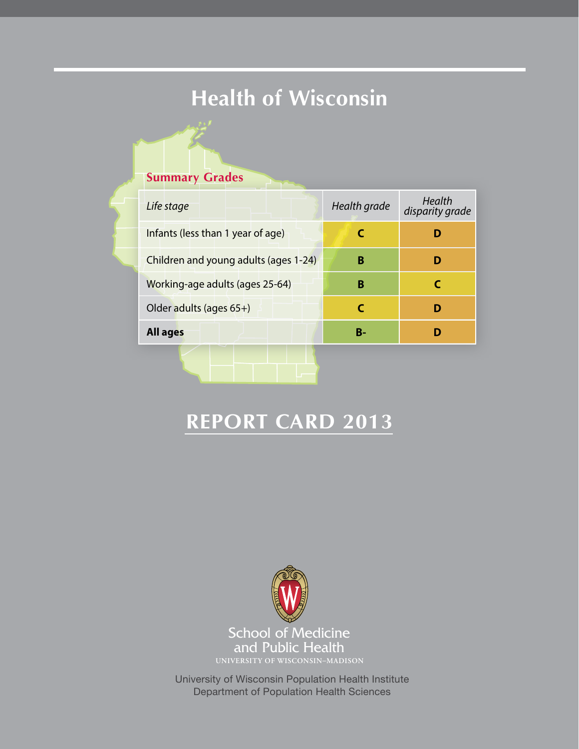# **Health of Wisconsin**

## **Summary Grades**

| Life stage                            | Health grade | Health<br>disparity grade |
|---------------------------------------|--------------|---------------------------|
| Infants (less than 1 year of age)     |              | D                         |
| Children and young adults (ages 1-24) | в            | D                         |
| Working-age adults (ages 25-64)       | в            |                           |
| Older adults (ages 65+)               |              | D                         |
| <b>All ages</b>                       | R-           |                           |
|                                       |              |                           |

## **Report Card 2013**



University of Wisconsin Population Health Institute Department of Population Health Sciences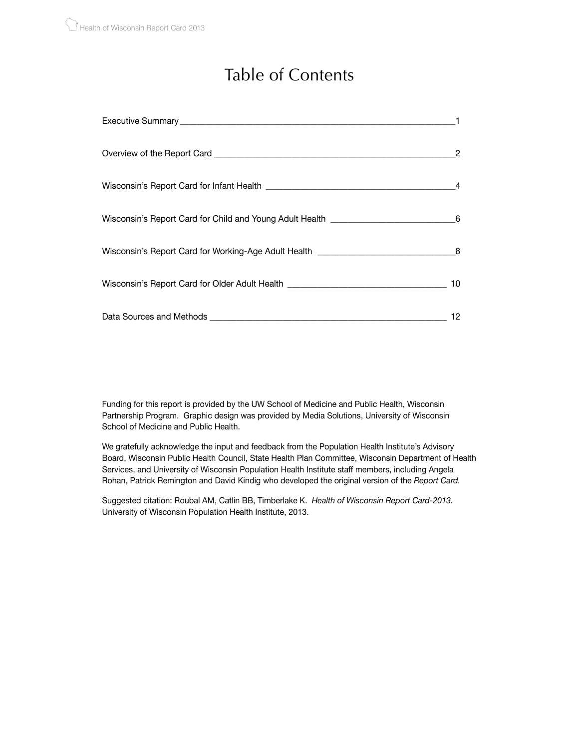## Table of Contents

| Wisconsin's Report Card for Older Adult Health _________________________________ | 10 |
|----------------------------------------------------------------------------------|----|
|                                                                                  | 12 |

Funding for this report is provided by the UW School of Medicine and Public Health, Wisconsin Partnership Program. Graphic design was provided by Media Solutions, University of Wisconsin School of Medicine and Public Health.

We gratefully acknowledge the input and feedback from the Population Health Institute's Advisory Board, Wisconsin Public Health Council, State Health Plan Committee, Wisconsin Department of Health Services, and University of Wisconsin Population Health Institute staff members, including Angela Rohan, Patrick Remington and David Kindig who developed the original version of the *Report Card.*

Suggested citation: Roubal AM, Catlin BB, Timberlake K. *Health of Wisconsin Report Card-2013.* University of Wisconsin Population Health Institute, 2013.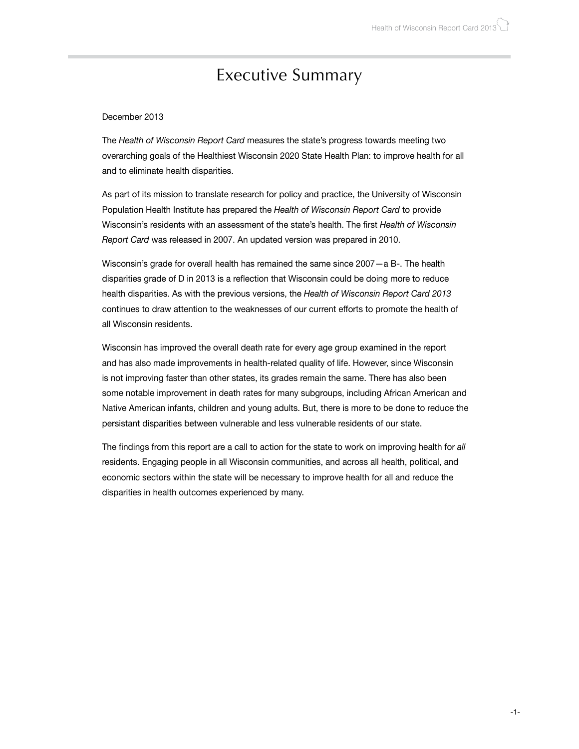## Executive Summary

#### December 2013

The *Health of Wisconsin Report Card* measures the state's progress towards meeting two overarching goals of the Healthiest Wisconsin 2020 State Health Plan: to improve health for all and to eliminate health disparities.

As part of its mission to translate research for policy and practice, the University of Wisconsin Population Health Institute has prepared the *Health of Wisconsin Report Card* to provide Wisconsin's residents with an assessment of the state's health. The first *Health of Wisconsin Report Card* was released in 2007. An updated version was prepared in 2010.

Wisconsin's grade for overall health has remained the same since 2007—a B-. The health disparities grade of D in 2013 is a reflection that Wisconsin could be doing more to reduce health disparities. As with the previous versions, the *Health of Wisconsin Report Card 2013* continues to draw attention to the weaknesses of our current efforts to promote the health of all Wisconsin residents.

Wisconsin has improved the overall death rate for every age group examined in the report and has also made improvements in health-related quality of life. However, since Wisconsin is not improving faster than other states, its grades remain the same. There has also been some notable improvement in death rates for many subgroups, including African American and Native American infants, children and young adults. But, there is more to be done to reduce the persistant disparities between vulnerable and less vulnerable residents of our state.

The findings from this report are a call to action for the state to work on improving health for *all* residents. Engaging people in all Wisconsin communities, and across all health, political, and economic sectors within the state will be necessary to improve health for all and reduce the disparities in health outcomes experienced by many.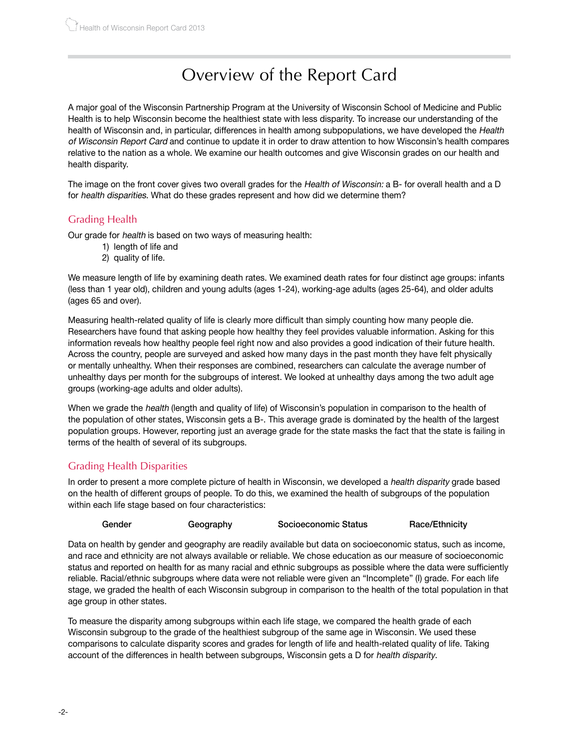## Overview of the Report Card

A major goal of the Wisconsin Partnership Program at the University of Wisconsin School of Medicine and Public Health is to help Wisconsin become the healthiest state with less disparity. To increase our understanding of the health of Wisconsin and, in particular, differences in health among subpopulations, we have developed the Health of Wisconsin Report Card and continue to update it in order to draw attention to how Wisconsin's health compares relative to the nation as a whole. We examine our health outcomes and give Wisconsin grades on our health and health disparity.

The image on the front cover gives two overall grades for the Health of Wisconsin: a B- for overall health and a D for health disparities. What do these grades represent and how did we determine them?

### Grading Health

Our grade for health is based on two ways of measuring health:

- 1) length of life and
- 2) quality of life.

We measure length of life by examining death rates. We examined death rates for four distinct age groups: infants (less than 1 year old), children and young adults (ages 1-24), working-age adults (ages 25-64), and older adults (ages 65 and over).

Measuring health-related quality of life is clearly more difficult than simply counting how many people die. Researchers have found that asking people how healthy they feel provides valuable information. Asking for this information reveals how healthy people feel right now and also provides a good indication of their future health. Across the country, people are surveyed and asked how many days in the past month they have felt physically or mentally unhealthy. When their responses are combined, researchers can calculate the average number of unhealthy days per month for the subgroups of interest. We looked at unhealthy days among the two adult age groups (working-age adults and older adults).

When we grade the *health* (length and quality of life) of Wisconsin's population in comparison to the health of the population of other states, Wisconsin gets a B-. This average grade is dominated by the health of the largest population groups. However, reporting just an average grade for the state masks the fact that the state is failing in terms of the health of several of its subgroups.

### Grading Health Disparities

In order to present a more complete picture of health in Wisconsin, we developed a health disparity grade based on the health of different groups of people. To do this, we examined the health of subgroups of the population within each life stage based on four characteristics:

| Gender | Geography | Socioeconomic Status | Race/Ethnicity |
|--------|-----------|----------------------|----------------|
|--------|-----------|----------------------|----------------|

Data on health by gender and geography are readily available but data on socioeconomic status, such as income, and race and ethnicity are not always available or reliable. We chose education as our measure of socioeconomic status and reported on health for as many racial and ethnic subgroups as possible where the data were sufficiently reliable. Racial/ethnic subgroups where data were not reliable were given an "Incomplete" (I) grade. For each life stage, we graded the health of each Wisconsin subgroup in comparison to the health of the total population in that age group in other states.

To measure the disparity among subgroups within each life stage, we compared the health grade of each Wisconsin subgroup to the grade of the healthiest subgroup of the same age in Wisconsin. We used these comparisons to calculate disparity scores and grades for length of life and health-related quality of life. Taking account of the differences in health between subgroups, Wisconsin gets a D for health disparity.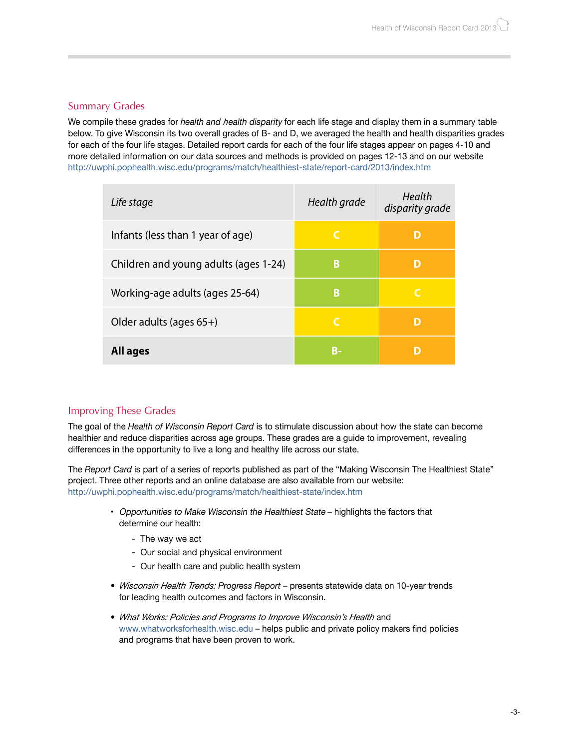### Summary Grades

We compile these grades for *health and h*ealth disparity for each life stage and display them in a summary table below. To give Wisconsin its two overall grades of B- and D, we averaged the health and health disparities grades for each of the four life stages. Detailed report cards for each of the four life stages appear on pages 4-10 and more detailed information on our data sources and methods is provided on pages 12-13 and on our website http://uwphi.pophealth.wisc.edu/programs/match/healthiest-state/report-card/2013/index.htm

| Life stage                            | Health grade | Health<br>disparity grade |
|---------------------------------------|--------------|---------------------------|
| Infants (less than 1 year of age)     | C            | D                         |
| Children and young adults (ages 1-24) | B            | D                         |
| Working-age adults (ages 25-64)       | B            | C                         |
| Older adults (ages $65+$ )            | C            | D                         |
| All ages                              | В-           |                           |

### Improving These Grades

The goal of the *Health of Wisconsin Report Card* is to stimulate discussion about how the state can become healthier and reduce disparities across age groups. These grades are a guide to improvement, revealing differences in the opportunity to live a long and healthy life across our state.

The *Report Card* is part of a series of reports published as part of the "Making Wisconsin The Healthiest State" project. Three other reports and an online database are also available from our website: http://uwphi.pophealth.wisc.edu/programs/match/healthiest-state/index.htm

- Opportunities to Make Wisconsin the Healthiest State highlights the factors that determine our health:
	- The way we act
	- Our social and physical environment
	- Our health care and public health system
- *• Wisconsin Health Trends: Progress Report*  presents statewide data on 10-year trends for leading health outcomes and factors in Wisconsin.
- *• What Works: Policies and Programs to Improve Wisconsin's Health* and www.whatworksforhealth.wisc.edu – helps public and private policy makers find policies and programs that have been proven to work.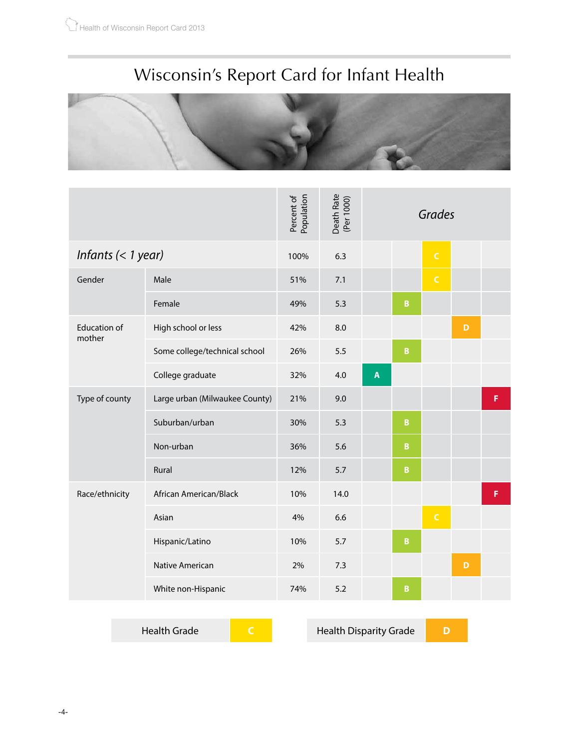# Wisconsin's Report Card for Infant Health



|                               |                                | Percent of<br>Population | Death Rate<br>(Per 1000) | Grades                    |                         |              |   |   |
|-------------------------------|--------------------------------|--------------------------|--------------------------|---------------------------|-------------------------|--------------|---|---|
| Infants $(< 1$ year)          |                                | 100%                     | 6.3                      |                           |                         | $\mathsf C$  |   |   |
| Gender                        | Male                           | 51%                      | 7.1                      |                           |                         | $\mathsf{C}$ |   |   |
|                               | Female                         | 49%                      | 5.3                      |                           | $\mathsf B$             |              |   |   |
| <b>Education of</b><br>mother | High school or less            | 42%                      | 8.0                      |                           |                         |              | D |   |
|                               | Some college/technical school  | 26%                      | 5.5                      |                           | $\overline{\mathbf{B}}$ |              |   |   |
|                               | College graduate               | 32%                      | 4.0                      | $\boldsymbol{\mathsf{A}}$ |                         |              |   |   |
| Type of county                | Large urban (Milwaukee County) | 21%                      | 9.0                      |                           |                         |              |   | F |
|                               | Suburban/urban                 | 30%                      | 5.3                      |                           | $\pmb B$                |              |   |   |
|                               | Non-urban                      | 36%                      | 5.6                      |                           | $\mathbf{B}$            |              |   |   |
|                               | Rural                          | 12%                      | 5.7                      |                           | $\, {\bf B}$            |              |   |   |
| Race/ethnicity                | African American/Black         | 10%                      | 14.0                     |                           |                         |              |   | F |
|                               | Asian                          | 4%                       | 6.6                      |                           |                         | $\mathsf C$  |   |   |
|                               | Hispanic/Latino                | 10%                      | 5.7                      |                           | $\, {\bf B}$            |              |   |   |
|                               | Native American                | 2%                       | 7.3                      |                           |                         |              | D |   |
|                               | White non-Hispanic             | 74%                      | 5.2                      |                           | $\overline{B}$          |              |   |   |

Health Grade **C** Health Disparity Grade **D**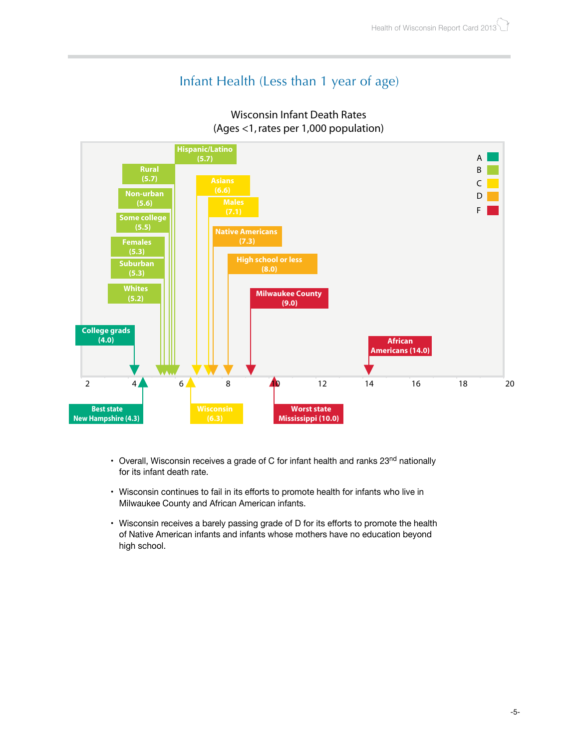## Infant Health (Less than 1 year of age)



### Wisconsin Infant Death Rates (Ages <1, rates per 1,000 population)

- Overall, Wisconsin receives a grade of C for infant health and ranks 23<sup>nd</sup> nationally for its infant death rate.
- Wisconsin continues to fail in its efforts to promote health for infants who live in Milwaukee County and African American infants.
- Wisconsin receives a barely passing grade of D for its efforts to promote the health of Native American infants and infants whose mothers have no education beyond high school.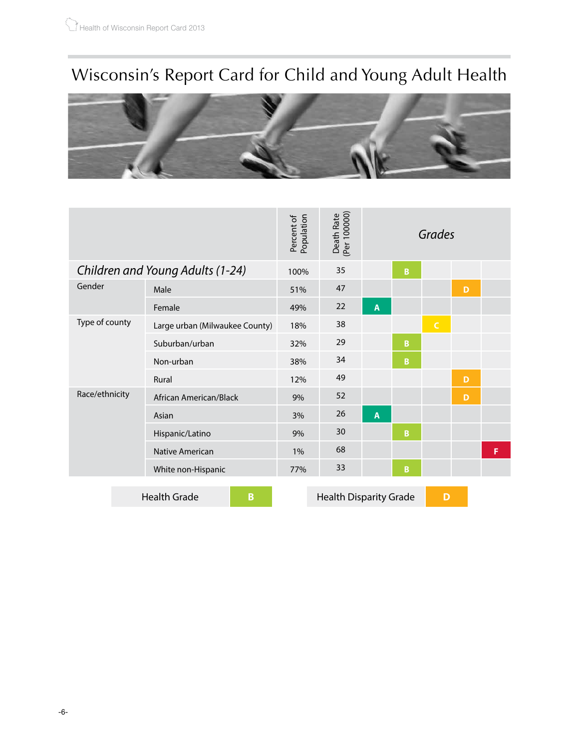# Wisconsin's Report Card for Child and Young Adult Health



|                                  |                                | Population<br>Percent of | Death Rate<br>(Per 100000)    | Grades                  |   |              |   |   |
|----------------------------------|--------------------------------|--------------------------|-------------------------------|-------------------------|---|--------------|---|---|
| Children and Young Adults (1-24) |                                | 100%                     | 35                            |                         | B |              |   |   |
| Gender                           | Male                           | 51%                      | 47                            |                         |   |              | D |   |
|                                  | Female                         | 49%                      | 22                            | A                       |   |              |   |   |
| Type of county                   | Large urban (Milwaukee County) | 18%                      | 38                            |                         |   | $\mathsf{C}$ |   |   |
|                                  | Suburban/urban                 | 32%                      | 29                            |                         | B |              |   |   |
|                                  | Non-urban                      | 38%                      | 34                            |                         | B |              |   |   |
|                                  | Rural                          | 12%                      | 49                            |                         |   |              | D |   |
| Race/ethnicity                   | African American/Black         | 9%                       | 52                            |                         |   |              | D |   |
|                                  | Asian                          | 3%                       | 26                            | $\overline{\mathsf{A}}$ |   |              |   |   |
|                                  | Hispanic/Latino                | 9%                       | 30                            |                         | B |              |   |   |
|                                  | <b>Native American</b>         | $1\%$                    | 68                            |                         |   |              |   | F |
|                                  | White non-Hispanic             | 77%                      | 33                            |                         | B |              |   |   |
|                                  | <b>Health Grade</b><br>B       |                          | <b>Health Disparity Grade</b> |                         |   | D            |   |   |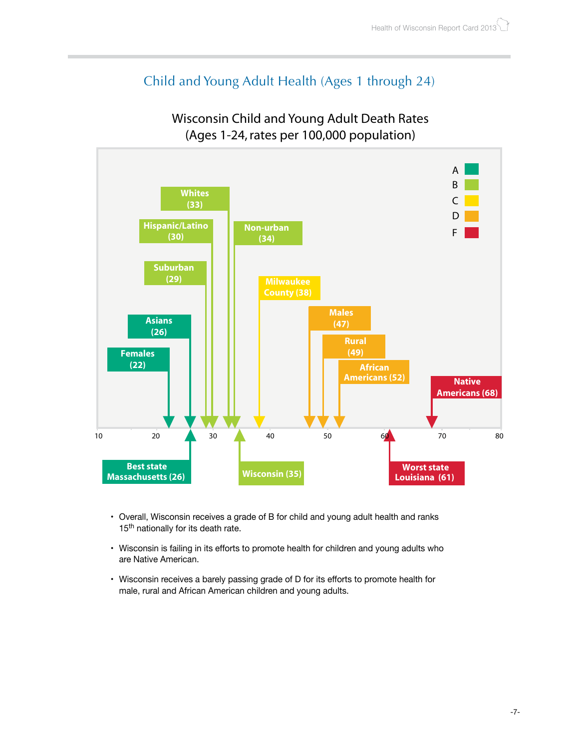## Child and Young Adult Health (Ages 1 through 24)



### Wisconsin Child and Young Adult Death Rates (Ages 1-24, rates per 100,000 population)

- Overall, Wisconsin receives a grade of B for child and young adult health and ranks 15<sup>th</sup> nationally for its death rate.
- Wisconsin is failing in its efforts to promote health for children and young adults who are Native American.
- Wisconsin receives a barely passing grade of D for its efforts to promote health for male, rural and African American children and young adults.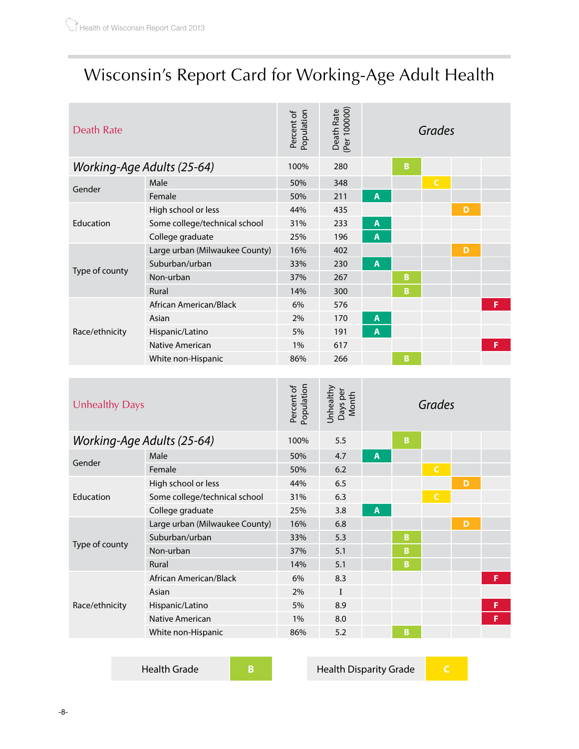# Wisconsin's Report Card for Working-Age Adult Health

| Death Rate                 |                                | Population<br>Percent of | Death Rate<br>(Per 100000) | Grades         |   |              |   |   |
|----------------------------|--------------------------------|--------------------------|----------------------------|----------------|---|--------------|---|---|
| Working-Age Adults (25-64) |                                | 100%                     | 280                        |                | B |              |   |   |
|                            | Male                           | 50%                      | 348                        |                |   | $\mathsf{C}$ |   |   |
| Gender                     | Female                         | 50%                      | 211                        | A              |   |              |   |   |
|                            | High school or less            | 44%                      | 435                        |                |   |              | D |   |
| Education                  | Some college/technical school  | 31%                      | 233                        | A              |   |              |   |   |
|                            | College graduate               | 25%                      | 196                        | $\overline{A}$ |   |              |   |   |
|                            | Large urban (Milwaukee County) | 16%                      | 402                        |                |   |              | D |   |
|                            | Suburban/urban                 | 33%                      | 230                        | A              |   |              |   |   |
| Type of county             | Non-urban                      | 37%                      | 267                        |                | B |              |   |   |
|                            | Rural                          | 14%                      | 300                        |                | B |              |   |   |
|                            | African American/Black         | 6%                       | 576                        |                |   |              |   | F |
| Race/ethnicity             | Asian                          | 2%                       | 170                        | A              |   |              |   |   |
|                            | Hispanic/Latino                | 5%                       | 191                        | A              |   |              |   |   |
|                            | Native American                | $1\%$                    | 617                        |                |   |              |   | F |
|                            | White non-Hispanic             | 86%                      | 266                        |                | B |              |   |   |

| Unhealthy Days             |                                | Population<br>Percent of | Unhealthy<br>Days per<br>Month | Grades |   |              |   |   |
|----------------------------|--------------------------------|--------------------------|--------------------------------|--------|---|--------------|---|---|
| Working-Age Adults (25-64) |                                | 100%                     | 5.5                            |        | B |              |   |   |
| Gender                     | Male                           | 50%                      | 4.7                            | A      |   |              |   |   |
|                            | Female                         | 50%                      | 6.2                            |        |   | $\mathsf{C}$ |   |   |
|                            | High school or less            | 44%                      | 6.5                            |        |   |              | D |   |
| Education                  | Some college/technical school  | 31%                      | 6.3                            |        |   | $\mathsf{C}$ |   |   |
|                            | College graduate               | 25%                      | 3.8                            | A      |   |              |   |   |
|                            | Large urban (Milwaukee County) | 16%                      | 6.8                            |        |   |              | D |   |
|                            | Suburban/urban                 | 33%                      | 5.3                            |        | B |              |   |   |
| Type of county             | Non-urban                      | 37%                      | 5.1                            |        | B |              |   |   |
|                            | Rural                          | 14%                      | 5.1                            |        | B |              |   |   |
|                            | African American/Black         | 6%                       | 8.3                            |        |   |              |   | F |
| Race/ethnicity             | Asian                          | 2%                       | $\mathbf{I}$                   |        |   |              |   |   |
|                            | Hispanic/Latino                | 5%                       | 8.9                            |        |   |              |   | F |
|                            | Native American                | $1\%$                    | 8.0                            |        |   |              |   | F |
|                            | White non-Hispanic             | 86%                      | 5.2                            |        | B |              |   |   |

Health Grade **B** Health Disparity Grade **C**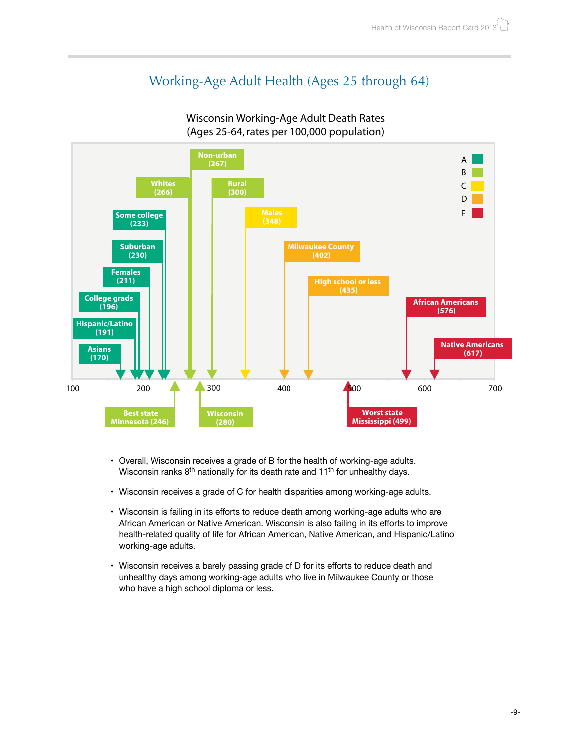## Working-Age Adult Health (Ages 25 through 64)



#### Wisconsin Working-Age Adult Death Rates (Ages 25-64, rates per 100,000 population)

- Overall, Wisconsin receives a grade of B for the health of working-age adults. Wisconsin ranks  $8<sup>th</sup>$  nationally for its death rate and  $11<sup>th</sup>$  for unhealthy days.
- Wisconsin receives a grade of C for health disparities among working-age adults.
- Wisconsin is failing in its efforts to reduce death among working-age adults who are African American or Native American. Wisconsin is also failing in its efforts to improve health-related quality of life for African American, Native American, and Hispanic/Latino working-age adults.
- Wisconsin receives a barely passing grade of D for its efforts to reduce death and unhealthy days among working-age adults who live in Milwaukee County or those who have a high school diploma or less.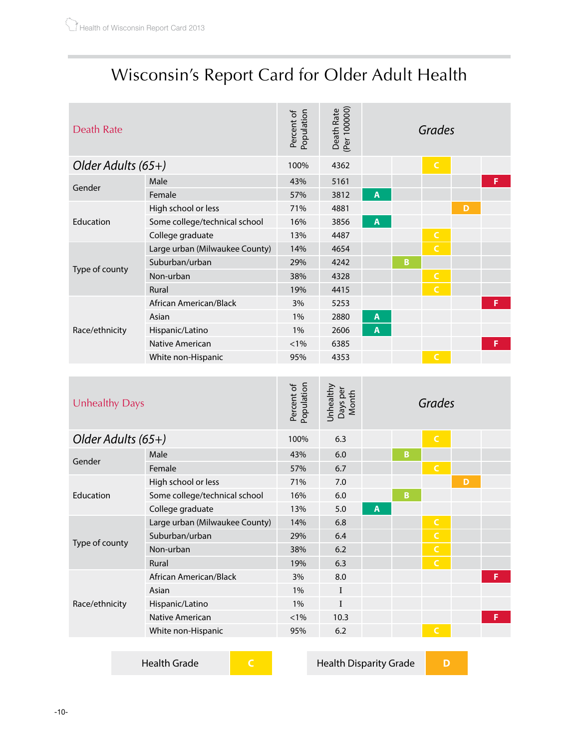## Wisconsin's Report Card for Older Adult Health

| Death Rate         |                                | Population<br>Percent of | Death Rate<br>(Per 100000) | Grades |   |              |   |   |
|--------------------|--------------------------------|--------------------------|----------------------------|--------|---|--------------|---|---|
| Older Adults (65+) |                                | 100%                     | 4362                       |        |   | $\mathsf{C}$ |   |   |
|                    | Male                           | 43%                      | 5161                       |        |   |              |   | F |
| Gender             | Female                         | 57%                      | 3812                       | A      |   |              |   |   |
|                    | High school or less            | 71%                      | 4881                       |        |   |              | D |   |
| Education          | Some college/technical school  | 16%                      | 3856                       | A      |   |              |   |   |
|                    | College graduate               | 13%                      | 4487                       |        |   | $\mathsf{C}$ |   |   |
|                    | Large urban (Milwaukee County) | 14%                      | 4654                       |        |   | $\epsilon$   |   |   |
|                    | Suburban/urban                 | 29%                      | 4242                       |        | B |              |   |   |
| Type of county     | Non-urban                      | 38%                      | 4328                       |        |   | $\mathsf{C}$ |   |   |
|                    | Rural                          | 19%                      | 4415                       |        |   | $\mathsf{C}$ |   |   |
|                    | African American/Black         | 3%                       | 5253                       |        |   |              |   | F |
|                    | Asian                          | $1\%$                    | 2880                       | A      |   |              |   |   |
| Race/ethnicity     | Hispanic/Latino                | 1%                       | 2606                       | A      |   |              |   |   |
|                    | Native American                | $< 1\%$                  | 6385                       |        |   |              |   | F |
|                    | White non-Hispanic             | 95%                      | 4353                       |        |   | $\mathsf{C}$ |   |   |
|                    |                                |                          |                            |        |   |              |   |   |

| Unhealthy Days     |                                | Population<br>Percent of | Unhealthy<br>Days per<br>Month | Grades |   |              |   |   |
|--------------------|--------------------------------|--------------------------|--------------------------------|--------|---|--------------|---|---|
| Older Adults (65+) |                                | 100%                     | 6.3                            |        |   | $\mathsf{C}$ |   |   |
|                    | Male                           | 43%                      | 6.0                            |        | B |              |   |   |
| Gender             | Female                         | 57%                      | 6.7                            |        |   | $\mathsf{C}$ |   |   |
|                    | High school or less            | 71%                      | 7.0                            |        |   |              | D |   |
| Education          | Some college/technical school  | 16%                      | 6.0                            |        | B |              |   |   |
|                    | College graduate               | 13%                      | 5.0                            | A      |   |              |   |   |
|                    | Large urban (Milwaukee County) | 14%                      | 6.8                            |        |   | $\mathsf C$  |   |   |
|                    | Suburban/urban                 | 29%                      | 6.4                            |        |   | $\mathsf{C}$ |   |   |
| Type of county     | Non-urban                      | 38%                      | 6.2                            |        |   | $\mathsf{C}$ |   |   |
|                    | Rural                          | 19%                      | 6.3                            |        |   | $\mathsf{C}$ |   |   |
|                    | African American/Black         | 3%                       | 8.0                            |        |   |              |   | F |
|                    | Asian                          | 1%                       | I                              |        |   |              |   |   |
| Race/ethnicity     | Hispanic/Latino                | $1\%$                    | I                              |        |   |              |   |   |
|                    | Native American                | $< 1\%$                  | 10.3                           |        |   |              |   | F |
|                    | White non-Hispanic             | 95%                      | 6.2                            |        |   |              |   |   |
|                    |                                |                          |                                |        |   |              |   |   |

**Health Grade C C Health Disparity Grade D**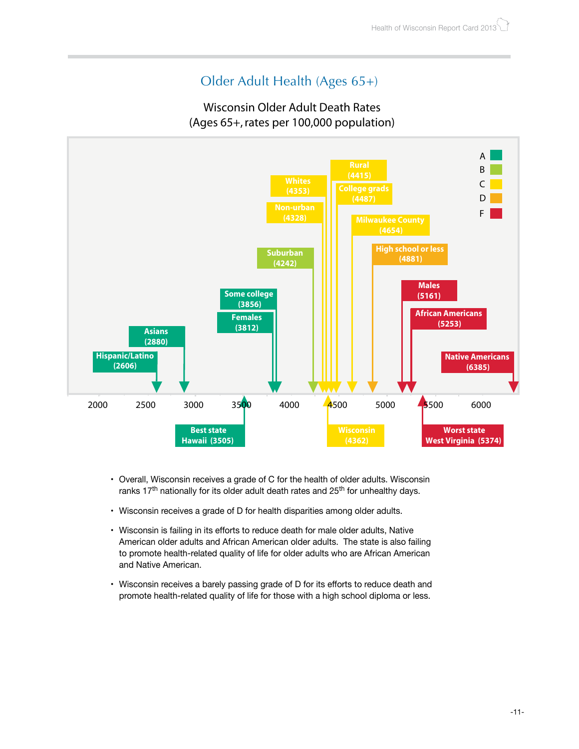## Older Adult Health (Ages 65+)

### Wisconsin Older Adult Death Rates (Ages 65+, rates per 100,000 population)



- Overall, Wisconsin receives a grade of C for the health of older adults. Wisconsin ranks  $17<sup>th</sup>$  nationally for its older adult death rates and  $25<sup>th</sup>$  for unhealthy days.
- Wisconsin receives a grade of D for health disparities among older adults.
- Wisconsin is failing in its efforts to reduce death for male older adults, Native American older adults and African American older adults. The state is also failing to promote health-related quality of life for older adults who are African American and Native American.
- Wisconsin receives a barely passing grade of D for its efforts to reduce death and promote health-related quality of life for those with a high school diploma or less.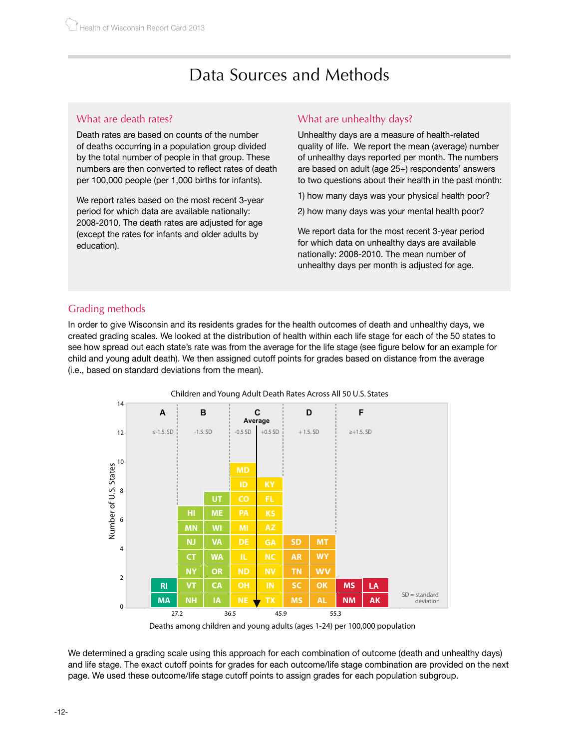## Data Sources and Methods

### What are death rates?

Death rates are based on counts of the number of deaths occurring in a population group divided by the total number of people in that group. These numbers are then converted to reflect rates of death per 100,000 people (per 1,000 births for infants).

We report rates based on the most recent 3-year period for which data are available nationally: 2008-2010. The death rates are adjusted for age (except the rates for infants and older adults by education).

### What are unhealthy days?

Unhealthy days are a measure of health-related quality of life. We report the mean (average) number of unhealthy days reported per month. The numbers are based on adult (age 25+) respondents' answers to two questions about their health in the past month:

- 1) how many days was your physical health poor?
- 2) how many days was your mental health poor?

We report data for the most recent 3-year period for which data on unhealthy days are available nationally: 2008-2010. The mean number of unhealthy days per month is adjusted for age.

#### Grading methods

In order to give Wisconsin and its residents grades for the health outcomes of death and unhealthy days, we created grading scales. We looked at the distribution of health within each life stage for each of the 50 states to see how spread out each state's rate was from the average for the life stage (see figure below for an example for child and young adult death). We then assigned cutoff points for grades based on distance from the average (i.e., based on standard deviations from the mean).



Deaths among children and young adults (ages 1-24) per 100,000 population

We determined a grading scale using this approach for each combination of outcome (death and unhealthy days) and life stage. The exact cutoff points for grades for each outcome/life stage combination are provided on the next page. We used these outcome/life stage cutoff points to assign grades for each population subgroup.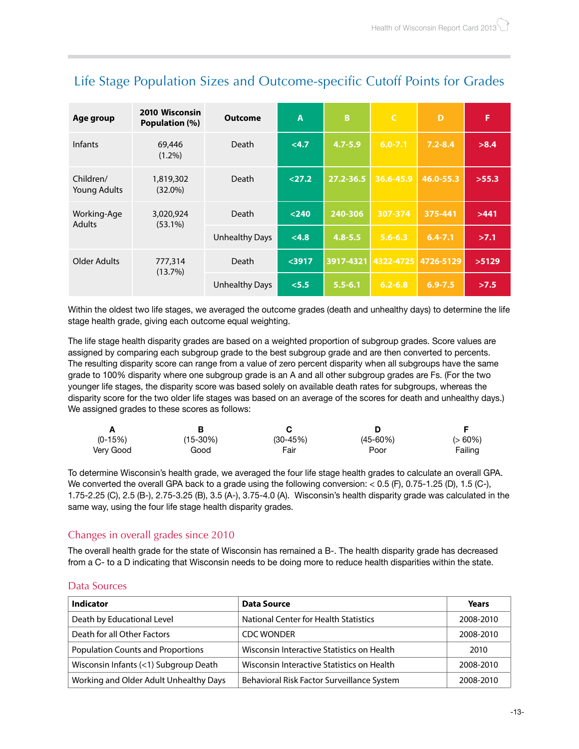| Age group                    | 2010 Wisconsin<br>Population (%) | <b>Outcome</b>        | A       | B           | l C         | D           | F     |
|------------------------------|----------------------------------|-----------------------|---------|-------------|-------------|-------------|-------|
| <b>Infants</b>               | 69,446<br>$(1.2\%)$              | <b>Death</b>          | < 4.7   | $4.7 - 5.9$ | $6.0 - 7.1$ | $7.2 - 8.4$ | >8.4  |
| Children/<br>Young Adults    | 1,819,302<br>$(32.0\%)$          | <b>Death</b>          | 27.2    | 27.2-36.5   | 36.6-45.9   | 46.0-55.3   | >55.3 |
| Working-Age<br><b>Adults</b> | 3,020,924<br>$(53.1\%)$          | Death                 | $<$ 240 | 240-306     | 307-374     | 375-441     | >441  |
|                              |                                  | <b>Unhealthy Days</b> | < 4.8   | $4.8 - 5.5$ | $5.6 - 6.3$ | $6.4 - 7.1$ | >7.1  |
| Older Adults                 | 777,314                          | Death                 | $3917$  | 3917-4321   | 4322-4725   | 4726-5129   | >5129 |
|                              | (13.7%)                          | <b>Unhealthy Days</b> | < 5.5   | $5.5 - 6.1$ | $6.2 - 6.8$ | $6.9 - 7.5$ | >7.5  |

## Life Stage Population Sizes and Outcome-specific Cutoff Points for Grades

Within the oldest two life stages, we averaged the outcome grades (death and unhealthy days) to determine the life stage health grade, giving each outcome equal weighting.

The life stage health disparity grades are based on a weighted proportion of subgroup grades. Score values are assigned by comparing each subgroup grade to the best subgroup grade and are then converted to percents. The resulting disparity score can range from a value of zero percent disparity when all subgroups have the same grade to 100% disparity where one subgroup grade is an A and all other subgroup grades are Fs. (For the two younger life stages, the disparity score was based solely on available death rates for subgroups, whereas the disparity score for the two older life stages was based on an average of the scores for death and unhealthy days.) We assigned grades to these scores as follows:

| $(0-15%)$ | $(15-30%)$ | $(30-45%)$ | $(45 - 60%)$ | $(>60\%)$ |
|-----------|------------|------------|--------------|-----------|
| Very Good | Good       | Fair       | Poor         | Failing   |

To determine Wisconsin's health grade, we averaged the four life stage health grades to calculate an overall GPA. We converted the overall GPA back to a grade using the following conversion: < 0.5 (F), 0.75-1.25 (D), 1.5 (C-), 1.75-2.25 (C), 2.5 (B-), 2.75-3.25 (B), 3.5 (A-), 3.75-4.0 (A). Wisconsin's health disparity grade was calculated in the same way, using the four life stage health disparity grades.

### Changes in overall grades since 2010

The overall health grade for the state of Wisconsin has remained a B-. The health disparity grade has decreased from a C- to a D indicating that Wisconsin needs to be doing more to reduce health disparities within the state.

#### Data Sources

| <b>Indicator</b>                         | Data Source                                  | Years     |
|------------------------------------------|----------------------------------------------|-----------|
| Death by Educational Level               | <b>National Center for Health Statistics</b> | 2008-2010 |
| Death for all Other Factors              | <b>CDC WONDER</b>                            | 2008-2010 |
| <b>Population Counts and Proportions</b> | Wisconsin Interactive Statistics on Health   | 2010      |
| Wisconsin Infants (<1) Subgroup Death    | Wisconsin Interactive Statistics on Health   | 2008-2010 |
| Working and Older Adult Unhealthy Days   | Behavioral Risk Factor Surveillance System   | 2008-2010 |